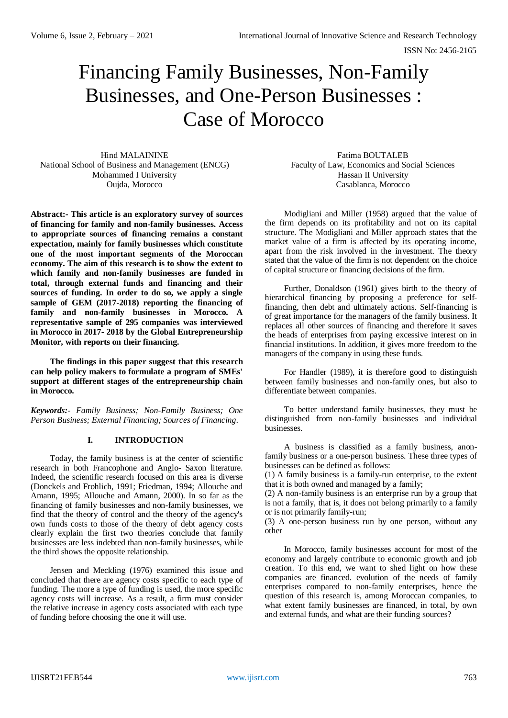# Financing Family Businesses, Non-Family Businesses, and One-Person Businesses : Case of Morocco

Hind MALAININE National School of Business and Management (ENCG) Mohammed I University Oujda, Morocco

**Abstract:- This article is an exploratory survey of sources of financing for family and non-family businesses. Access to appropriate sources of financing remains a constant expectation, mainly for family businesses which constitute one of the most important segments of the Moroccan economy. The aim of this research is to show the extent to which family and non-family businesses are funded in total, through external funds and financing and their sources of funding. In order to do so, we apply a single sample of GEM (2017-2018) reporting the financing of family and non-family businesses in Morocco. A representative sample of 295 companies was interviewed in Morocco in 2017- 2018 by the Global Entrepreneurship Monitor, with reports on their financing.**

**The findings in this paper suggest that this research can help policy makers to formulate a program of SMEs' support at different stages of the entrepreneurship chain in Morocco.**

*Keywords:- Family Business; Non-Family Business; One Person Business; External Financing; Sources of Financing.*

## **I. INTRODUCTION**

Today, the family business is at the center of scientific research in both Francophone and Anglo- Saxon literature. Indeed, the scientific research focused on this area is diverse (Donckels and Frohlich, 1991; Friedman, 1994; Allouche and Amann, 1995; Allouche and Amann, 2000). In so far as the financing of family businesses and non-family businesses, we find that the theory of control and the theory of the agency's own funds costs to those of the theory of debt agency costs clearly explain the first two theories conclude that family businesses are less indebted than non-family businesses, while the third shows the opposite relationship.

Jensen and Meckling (1976) examined this issue and concluded that there are agency costs specific to each type of funding. The more a type of funding is used, the more specific agency costs will increase. As a result, a firm must consider the relative increase in agency costs associated with each type of funding before choosing the one it will use.

Fatima BOUTALEB Faculty of Law, Economics and Social Sciences Hassan II University Casablanca, Morocco

Modigliani and Miller (1958) argued that the value of the firm depends on its profitability and not on its capital structure. The Modigliani and Miller approach states that the market value of a firm is affected by its operating income, apart from the risk involved in the investment. The theory stated that the value of the firm is not dependent on the choice of capital structure or financing decisions of the firm.

Further, Donaldson (1961) gives birth to the theory of hierarchical financing by proposing a preference for selffinancing, then debt and ultimately actions. Self-financing is of great importance for the managers of the family business. It replaces all other sources of financing and therefore it saves the heads of enterprises from paying excessive interest on in financial institutions. In addition, it gives more freedom to the managers of the company in using these funds.

For Handler (1989), it is therefore good to distinguish between family businesses and non-family ones, but also to differentiate between companies.

To better understand family businesses, they must be distinguished from non-family businesses and individual businesses.

A business is classified as a family business, anonfamily business or a one-person business. These three types of businesses can be defined as follows:

(1) A family business is a family-run enterprise, to the extent that it is both owned and managed by a family;

(2) A non-family business is an enterprise run by a group that is not a family, that is, it does not belong primarily to a family or is not primarily family-run;

(3) A one-person business run by one person, without any other

In Morocco, family businesses account for most of the economy and largely contribute to economic growth and job creation. To this end, we want to shed light on how these companies are financed. evolution of the needs of family enterprises compared to non-family enterprises, hence the question of this research is, among Moroccan companies, to what extent family businesses are financed, in total, by own and external funds, and what are their funding sources?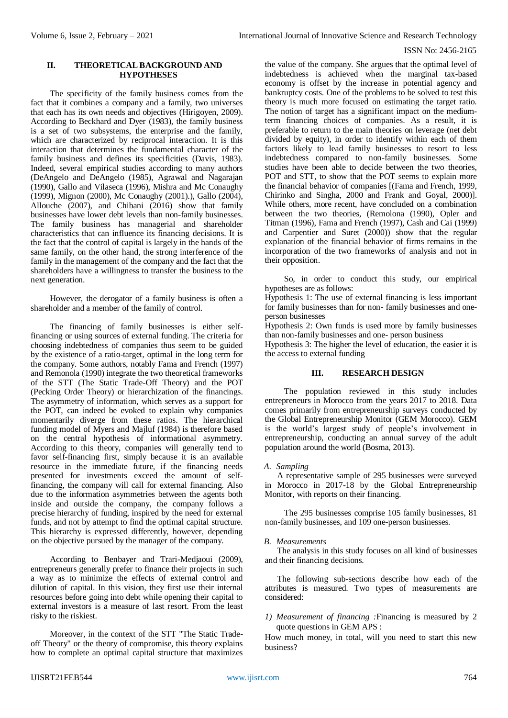## **II. THEORETICAL BACKGROUND AND HYPOTHESES**

The specificity of the family business comes from the fact that it combines a company and a family, two universes that each has its own needs and objectives (Hirigoyen, 2009). According to Beckhard and Dyer (1983), the family business is a set of two subsystems, the enterprise and the family, which are characterized by reciprocal interaction. It is this interaction that determines the fundamental character of the family business and defines its specificities (Davis, 1983). Indeed, several empirical studies according to many authors (DeAngelo and DeAngelo (1985), Agrawal and Nagarajan (1990), Gallo and Vilaseca (1996), Mishra and Mc Conaughy (1999), Mignon (2000), Mc Conaughy (2001).), Gallo (2004), Allouche (2007), and Chibani (2016) show that family businesses have lower debt levels than non-family businesses. The family business has managerial and shareholder characteristics that can influence its financing decisions. It is the fact that the control of capital is largely in the hands of the same family, on the other hand, the strong interference of the family in the management of the company and the fact that the shareholders have a willingness to transfer the business to the next generation.

However, the derogator of a family business is often a shareholder and a member of the family of control.

The financing of family businesses is either selffinancing or using sources of external funding. The criteria for choosing indebtedness of companies thus seem to be guided by the existence of a ratio-target, optimal in the long term for the company. Some authors, notably Fama and French (1997) and Remonola (1990) integrate the two theoretical frameworks of the STT (The Static Trade-Off Theory) and the POT (Pecking Order Theory) or hierarchization of the financings. The asymmetry of information, which serves as a support for the POT, can indeed be evoked to explain why companies momentarily diverge from these ratios. The hierarchical funding model of Myers and Majluf (1984) is therefore based on the central hypothesis of informational asymmetry. According to this theory, companies will generally tend to favor self-financing first, simply because it is an available resource in the immediate future, if the financing needs presented for investments exceed the amount of selffinancing, the company will call for external financing. Also due to the information asymmetries between the agents both inside and outside the company, the company follows a precise hierarchy of funding, inspired by the need for external funds, and not by attempt to find the optimal capital structure. This hierarchy is expressed differently, however, depending on the objective pursued by the manager of the company.

According to Benbayer and Trari-Medjaoui (2009), entrepreneurs generally prefer to finance their projects in such a way as to minimize the effects of external control and dilution of capital. In this vision, they first use their internal resources before going into debt while opening their capital to external investors is a measure of last resort. From the least risky to the riskiest.

Moreover, in the context of the STT "The Static Tradeoff Theory" or the theory of compromise, this theory explains how to complete an optimal capital structure that maximizes the value of the company. She argues that the optimal level of indebtedness is achieved when the marginal tax-based economy is offset by the increase in potential agency and bankruptcy costs. One of the problems to be solved to test this theory is much more focused on estimating the target ratio. The notion of target has a significant impact on the mediumterm financing choices of companies. As a result, it is preferable to return to the main theories on leverage (net debt divided by equity), in order to identify within each of them factors likely to lead family businesses to resort to less indebtedness compared to non-family businesses. Some studies have been able to decide between the two theories, POT and STT, to show that the POT seems to explain more the financial behavior of companies [(Fama and French, 1999, Chirinko and Singha, 2000 and Frank and Goyal, 2000)]. While others, more recent, have concluded on a combination between the two theories, (Remolona (1990), Opler and Titman (1996), Fama and French (1997), Cash and Cai (1999) and Carpentier and Suret (2000)) show that the regular explanation of the financial behavior of firms remains in the incorporation of the two frameworks of analysis and not in their opposition.

So, in order to conduct this study, our empirical hypotheses are as follows:

Hypothesis 1: The use of external financing is less important for family businesses than for non- family businesses and oneperson businesses

Hypothesis 2: Own funds is used more by family businesses than non-family businesses and one- person business

Hypothesis 3: The higher the level of education, the easier it is the access to external funding

### **III. RESEARCH DESIGN**

The population reviewed in this study includes entrepreneurs in Morocco from the years 2017 to 2018. Data comes primarily from entrepreneurship surveys conducted by the Global Entrepreneurship Monitor (GEM Morocco). GEM is the world's largest study of people's involvement in entrepreneurship, conducting an annual survey of the adult population around the world (Bosma, 2013).

#### *A. Sampling*

A representative sample of 295 businesses were surveyed in Morocco in 2017-18 by the Global Entrepreneurship Monitor, with reports on their financing.

The 295 businesses comprise 105 family businesses, 81 non-family businesses, and 109 one-person businesses.

#### *B. Measurements*

The analysis in this study focuses on all kind of businesses and their financing decisions.

The following sub-sections describe how each of the attributes is measured. Two types of measurements are considered:

*1) Measurement of financing :*Financing is measured by 2 quote questions in GEM APS :

How much money, in total, will you need to start this new business?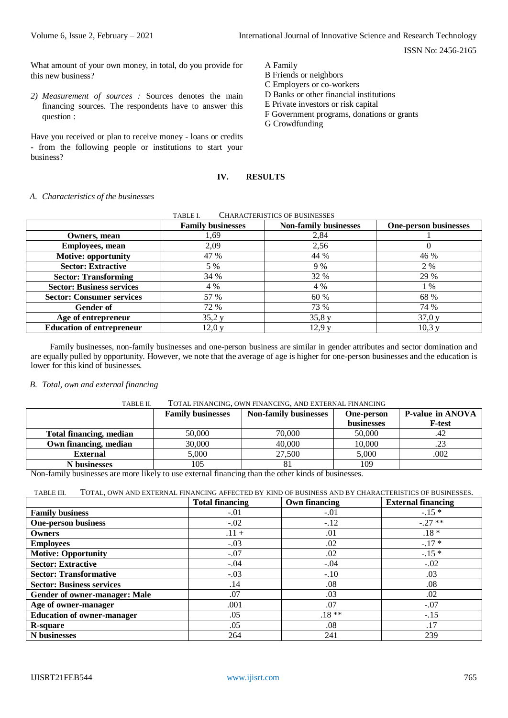What amount of your own money, in total, do you provide for this new business?

*2) Measurement of sources :* Sources denotes the main financing sources. The respondents have to answer this question :

Have you received or plan to receive money - loans or credits - from the following people or institutions to start your business?

A Family

- B Friends or neighbors
- C Employers or co-workers
- D Banks or other financial institutions
- E Private investors or risk capital
- F Government programs, donations or grants
- G Crowdfunding

## **IV. RESULTS**

### *A. Characteristics of the businesses*

| CHARACTERISTICS OF BUSINESSES<br>TABLE I. |                          |                              |                              |  |  |  |
|-------------------------------------------|--------------------------|------------------------------|------------------------------|--|--|--|
|                                           | <b>Family businesses</b> | <b>Non-family businesses</b> | <b>One-person businesses</b> |  |  |  |
| Owners, mean                              | 1,69                     | 2,84                         |                              |  |  |  |
| <b>Employees, mean</b>                    | 2,09                     | 2,56                         | 0                            |  |  |  |
| <b>Motive: opportunity</b>                | 47 %                     | 44 %                         | 46 %                         |  |  |  |
| <b>Sector: Extractive</b>                 | 5 %                      | 9%                           | 2 %                          |  |  |  |
| <b>Sector: Transforming</b>               | 34 %                     | 32 %                         | 29 %                         |  |  |  |
| <b>Sector: Business services</b>          | 4 %                      | 4 %                          | 1 %                          |  |  |  |
| <b>Sector: Consumer services</b>          | 57 %                     | 60 %                         | 68 %                         |  |  |  |
| Gender of                                 | 72 %                     | 73 %                         | 74 %                         |  |  |  |
| Age of entrepreneur                       | 35,2y                    | 35,8y                        | 37,0 y                       |  |  |  |
| <b>Education of entrepreneur</b>          | 12,0y                    | 12,9y                        | 10,3y                        |  |  |  |

Family businesses, non-family businesses and one-person business are similar in gender attributes and sector domination and are equally pulled by opportunity. However, we note that the average of age is higher for one-person businesses and the education is lower for this kind of businesses*.*

#### *B. Total, own and external financing*

## TABLE II. TOTAL FINANCING, OWN FINANCING, AND EXTERNAL FINANCING

|                                | <b>Family businesses</b> | <b>Non-family businesses</b> | <b>One-person</b> | P-value in ANOVA |  |
|--------------------------------|--------------------------|------------------------------|-------------------|------------------|--|
|                                |                          |                              | <b>businesses</b> | F-test           |  |
| <b>Total financing, median</b> | 50,000                   | 70,000                       | 50,000            | .42              |  |
| Own financing, median          | 30,000                   | 40,000                       | 10,000            | .23              |  |
| <b>External</b>                | 5.000                    | 27,500                       | 5,000             | .002             |  |
| <b>N</b> businesses            | 105                      |                              | 109               |                  |  |

Non-family businesses are more likely to use external financing than the other kinds of businesses.

TABLE III. TOTAL, OWN AND EXTERNAL FINANCING AFFECTED BY KIND OF BUSINESS AND BY CHARACTERISTICS OF BUSINESSES.

|                                   | <b>Total financing</b> | Own financing | <b>External financing</b> |
|-----------------------------------|------------------------|---------------|---------------------------|
| <b>Family business</b>            | $-.01$                 | $-.01$        | $-.15*$                   |
| <b>One-person business</b>        | $-.02$                 | $-.12$        | $-27**$                   |
| <b>Owners</b>                     | $.11 +$                | .01           | $.18 *$                   |
| <b>Employees</b>                  | $-.03$                 | .02           | $-.17*$                   |
| <b>Motive: Opportunity</b>        | $-.07$                 | .02           | $-.15*$                   |
| <b>Sector: Extractive</b>         | $-.04$                 | $-.04$        | $-.02$                    |
| <b>Sector: Transformative</b>     | $-.03$                 | $-.10$        | .03                       |
| <b>Sector: Business services</b>  | .14                    | .08           | .08                       |
| Gender of owner-manager: Male     | .07                    | .03           | .02                       |
| Age of owner-manager              | .001                   | .07           | $-.07$                    |
| <b>Education of owner-manager</b> | .05                    | $.18**$       | $-.15$                    |
| <b>R-square</b>                   | .05                    | .08           | .17                       |
| N businesses                      | 264                    | 241           | 239                       |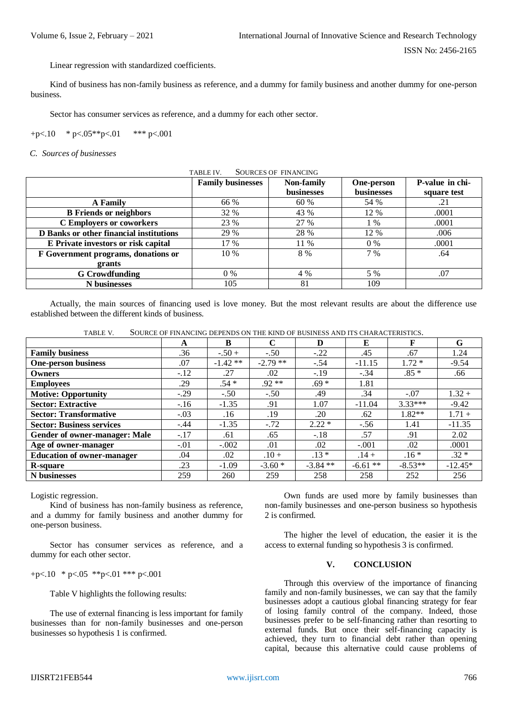Linear regression with standardized coefficients.

Kind of business has non-family business as reference, and a dummy for family business and another dummy for one-person business.

Sector has consumer services as reference, and a dummy for each other sector.

+p<.10  $*$  p<.05\*\*p<.01  $*$ \*\* p<.001

*C. Sources of businesses*

| <b>SOURCES OF FINANCING</b><br>TABLE IV. |                          |                   |                   |                 |  |  |
|------------------------------------------|--------------------------|-------------------|-------------------|-----------------|--|--|
|                                          | <b>Family businesses</b> | <b>Non-family</b> | <b>One-person</b> | P-value in chi- |  |  |
|                                          |                          | businesses        | businesses        | square test     |  |  |
| <b>A</b> Family                          | 66 %                     | 60 %              | 54 %              | .21             |  |  |
| <b>B</b> Friends or neighbors            | 32 %                     | 43 %              | 12 %              | .0001           |  |  |
| <b>C</b> Employers or coworkers          | 23 %                     | 27 %              | 1 %               | .0001           |  |  |
| D Banks or other financial institutions  | 29 %                     | 28 %              | 12 %              | .006            |  |  |
| E Private investors or risk capital      | 17 %                     | 11 %              | $0\%$             | .0001           |  |  |
| F Government programs, donations or      | $10\%$                   | 8 %               | 7 %               | .64             |  |  |
| grants                                   |                          |                   |                   |                 |  |  |
| <b>G</b> Crowdfunding                    | $0\%$                    | 4 %               | 5 %               | .07             |  |  |
| N businesses                             | 105                      | 81                | 109               |                 |  |  |

Actually, the main sources of financing used is love money. But the most relevant results are about the difference use established between the different kinds of business.

| SOURCE OF FINANCING DEPENDS ON THE KIND OF BUSINESS AND ITS CHARACTERISTICS.<br>TABLE V. |  |
|------------------------------------------------------------------------------------------|--|
|------------------------------------------------------------------------------------------|--|

|                                      | A      | B         | C          | D          | E         | F         | G         |
|--------------------------------------|--------|-----------|------------|------------|-----------|-----------|-----------|
| <b>Family business</b>               | .36    | $-.50+$   | $-.50$     | $-.22$     | .45       | .67       | 1.24      |
| <b>One-person business</b>           | .07    | $-1.42**$ | $-2.79$ ** | $-.54$     | $-11.15$  | $1.72*$   | $-9.54$   |
| Owners                               | $-.12$ | .27       | .02        | $-.19$     | $-.34$    | $.85*$    | .66       |
| <b>Employees</b>                     | .29    | $.54*$    | $.92**$    | $.69*$     | 1.81      |           |           |
| <b>Motive: Opportunity</b>           | $-.29$ | $-.50$    | $-.50$     | .49        | .34       | $-.07$    | $1.32 +$  |
| <b>Sector: Extractive</b>            | $-.16$ | $-1.35$   | .91        | 1.07       | $-11.04$  | $3.33***$ | $-9.42$   |
| <b>Sector: Transformative</b>        | $-.03$ | .16       | .19        | .20        | .62       | $1.82**$  | $1.71 +$  |
| <b>Sector: Business services</b>     | $-.44$ | $-1.35$   | $-.72$     | $2.22*$    | $-.56$    | 1.41      | $-11.35$  |
| <b>Gender of owner-manager: Male</b> | $-.17$ | .61       | .65        | $-.18$     | .57       | .91       | 2.02      |
| Age of owner-manager                 | $-.01$ | $-.002$   | .01        | .02        | $-.001$   | .02       | .0001     |
| <b>Education of owner-manager</b>    | .04    | .02       | $.10 +$    | $.13*$     | $.14 +$   | $.16*$    | $.32*$    |
| <b>R-square</b>                      | .23    | $-1.09$   | $-3.60*$   | $-3.84$ ** | $-6.61**$ | $-8.53**$ | $-12.45*$ |
| N businesses                         | 259    | 260       | 259        | 258        | 258       | 252       | 256       |

Logistic regression.

Kind of business has non-family business as reference, and a dummy for family business and another dummy for one-person business.

Sector has consumer services as reference, and a dummy for each other sector.

+p<.10  $*$  p<.05  $*$  $*$ p<.01  $*$  $*$  $*$  p<.001

Table V highlights the following results:

The use of external financing is less important for family businesses than for non-family businesses and one-person businesses so hypothesis 1 is confirmed.

Own funds are used more by family businesses than non-family businesses and one-person business so hypothesis 2 is confirmed.

The higher the level of education, the easier it is the access to external funding so hypothesis 3 is confirmed.

## **V. CONCLUSION**

Through this overview of the importance of financing family and non-family businesses, we can say that the family businesses adopt a cautious global financing strategy for fear of losing family control of the company. Indeed, those businesses prefer to be self-financing rather than resorting to external funds. But once their self-financing capacity is achieved, they turn to financial debt rather than opening capital, because this alternative could cause problems of